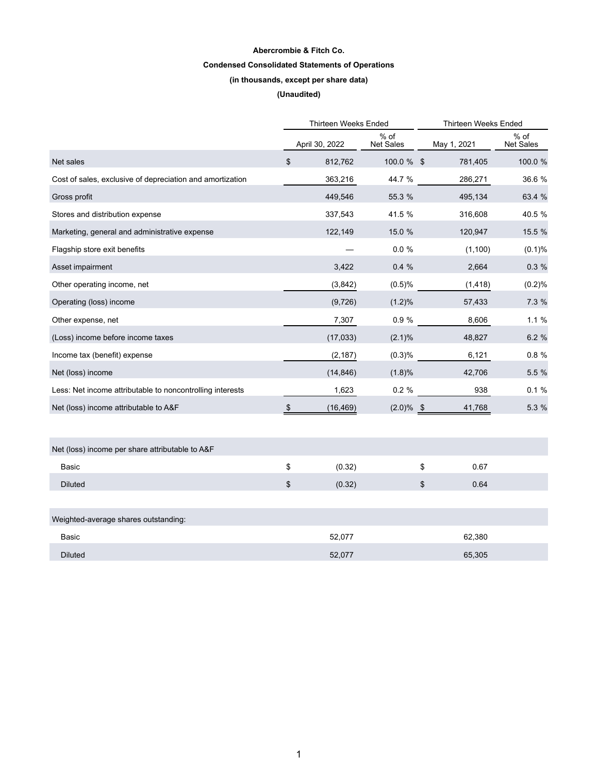### **Abercrombie & Fitch Co.**

## **Condensed Consolidated Statements of Operations**

# **(in thousands, except per share data)**

## **(Unaudited)**

|                                                           | Thirteen Weeks Ended |                   | <b>Thirteen Weeks Ended</b> |                            |  |
|-----------------------------------------------------------|----------------------|-------------------|-----------------------------|----------------------------|--|
|                                                           | April 30, 2022       | % of<br>Net Sales | May 1, 2021                 | $%$ of<br><b>Net Sales</b> |  |
| Net sales                                                 | \$<br>812,762        | 100.0 % \$        | 781,405                     | 100.0%                     |  |
| Cost of sales, exclusive of depreciation and amortization | 363,216              | 44.7 %            | 286,271                     | 36.6 %                     |  |
| Gross profit                                              | 449,546              | 55.3 %            | 495,134                     | 63.4 %                     |  |
| Stores and distribution expense                           | 337,543              | 41.5 %            | 316,608                     | 40.5 %                     |  |
| Marketing, general and administrative expense             | 122,149              | 15.0 %            | 120,947                     | 15.5 %                     |  |
| Flagship store exit benefits                              |                      | 0.0%              | (1,100)                     | (0.1)%                     |  |
| Asset impairment                                          | 3,422                | 0.4%              | 2,664                       | 0.3%                       |  |
| Other operating income, net                               | (3,842)              | (0.5)%            | (1, 418)                    | (0.2)%                     |  |
| Operating (loss) income                                   | (9, 726)             | $(1.2)\%$         | 57,433                      | 7.3 %                      |  |
| Other expense, net                                        | 7,307                | 0.9%              | 8,606                       | 1.1%                       |  |
| (Loss) income before income taxes                         | (17, 033)            | $(2.1)\%$         | 48,827                      | 6.2 %                      |  |
| Income tax (benefit) expense                              | (2, 187)             | (0.3)%            | 6,121                       | 0.8%                       |  |
| Net (loss) income                                         | (14, 846)            | (1.8)%            | 42,706                      | 5.5 %                      |  |
| Less: Net income attributable to noncontrolling interests | 1,623                | 0.2 %             | 938                         | 0.1%                       |  |
| Net (loss) income attributable to A&F                     | \$<br>(16, 469)      | $(2.0) \%$ \$     | 41,768                      | 5.3 %                      |  |
| Net (loss) income per share attributable to A&F           |                      |                   |                             |                            |  |
| Basic                                                     | \$<br>(0.32)         |                   | \$<br>0.67                  |                            |  |
| <b>Diluted</b>                                            | \$<br>(0.32)         |                   | \$<br>0.64                  |                            |  |
|                                                           |                      |                   |                             |                            |  |
| Weighted-average shares outstanding:                      |                      |                   |                             |                            |  |
| Basic                                                     | 52,077               |                   | 62,380                      |                            |  |
| <b>Diluted</b>                                            | 52,077               |                   | 65,305                      |                            |  |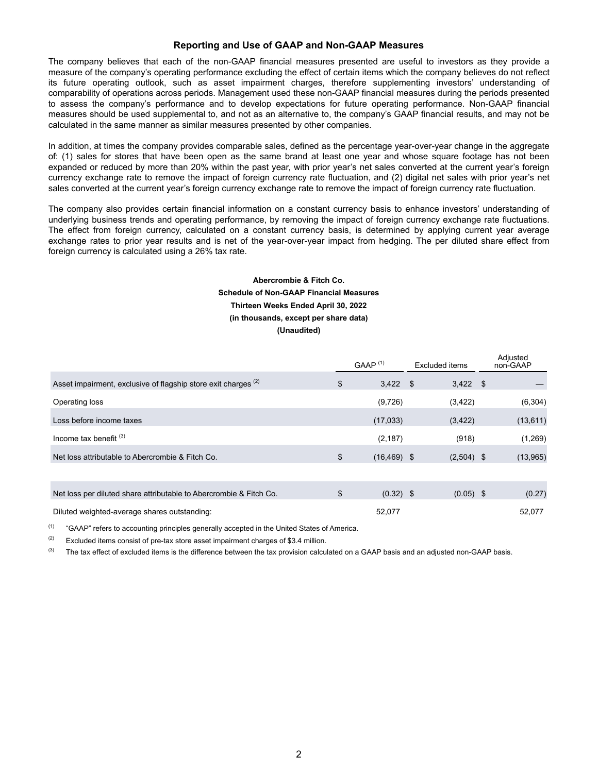### **Reporting and Use of GAAP and Non-GAAP Measures**

The company believes that each of the non-GAAP financial measures presented are useful to investors as they provide a measure of the company's operating performance excluding the effect of certain items which the company believes do not reflect its future operating outlook, such as asset impairment charges, therefore supplementing investors' understanding of comparability of operations across periods. Management used these non-GAAP financial measures during the periods presented to assess the company's performance and to develop expectations for future operating performance. Non-GAAP financial measures should be used supplemental to, and not as an alternative to, the company's GAAP financial results, and may not be calculated in the same manner as similar measures presented by other companies.

In addition, at times the company provides comparable sales, defined as the percentage year-over-year change in the aggregate of: (1) sales for stores that have been open as the same brand at least one year and whose square footage has not been expanded or reduced by more than 20% within the past year, with prior year's net sales converted at the current year's foreign currency exchange rate to remove the impact of foreign currency rate fluctuation, and (2) digital net sales with prior year's net sales converted at the current year's foreign currency exchange rate to remove the impact of foreign currency rate fluctuation.

The company also provides certain financial information on a constant currency basis to enhance investors' understanding of underlying business trends and operating performance, by removing the impact of foreign currency exchange rate fluctuations. The effect from foreign currency, calculated on a constant currency basis, is determined by applying current year average exchange rates to prior year results and is net of the year-over-year impact from hedging. The per diluted share effect from foreign currency is calculated using a 26% tax rate.

# **Abercrombie & Fitch Co. Schedule of Non-GAAP Financial Measures Thirteen Weeks Ended April 30, 2022 (in thousands, except per share data) (Unaudited)**

Adjusted

|                                                                    | GAAP <sup>(1)</sup>  | Excluded items | Adjusted<br>non-GAAP |
|--------------------------------------------------------------------|----------------------|----------------|----------------------|
| Asset impairment, exclusive of flagship store exit charges (2)     | \$<br>$3,422$ \$     | $3,422$ \$     |                      |
| Operating loss                                                     | (9,726)              | (3, 422)       | (6, 304)             |
| Loss before income taxes                                           | (17,033)             | (3, 422)       | (13, 611)            |
| Income tax benefit $(3)$                                           | (2, 187)             | (918)          | (1,269)              |
| Net loss attributable to Abercrombie & Fitch Co.                   | \$<br>$(16, 469)$ \$ | $(2,504)$ \$   | (13, 965)            |
|                                                                    |                      |                |                      |
| Net loss per diluted share attributable to Abercrombie & Fitch Co. | \$<br>$(0.32)$ \$    | $(0.05)$ \$    | (0.27)               |
| Diluted weighted-average shares outstanding:                       | 52,077               |                | 52,077               |

<sup>(1)</sup> "GAAP" refers to accounting principles generally accepted in the United States of America.

 $(2)$  Excluded items consist of pre-tax store asset impairment charges of \$3.4 million.

 $^{(3)}$  The tax effect of excluded items is the difference between the tax provision calculated on a GAAP basis and an adjusted non-GAAP basis.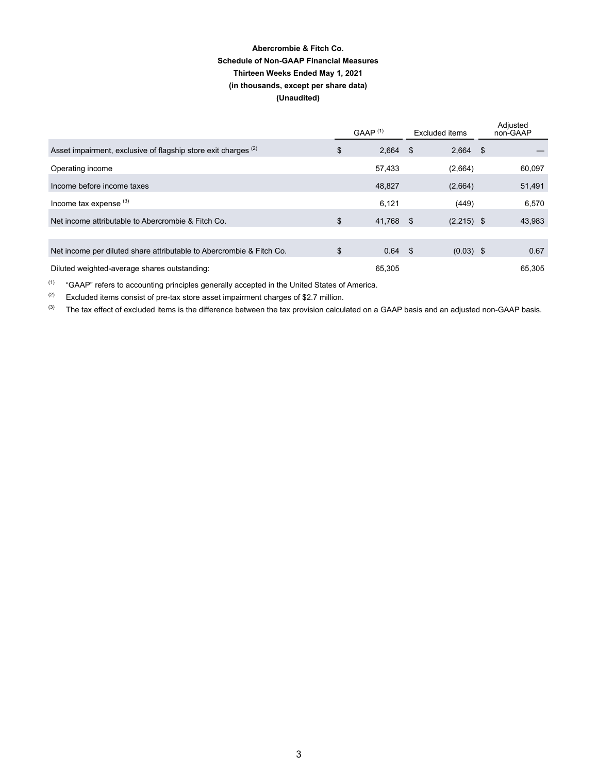## **Abercrombie & Fitch Co. Schedule of Non-GAAP Financial Measures Thirteen Weeks Ended May 1, 2021 (in thousands, except per share data) (Unaudited)**

|                                                                           | GAAP $(1)$      |     | Excluded items | Adjusted<br>non-GAAP |
|---------------------------------------------------------------------------|-----------------|-----|----------------|----------------------|
| Asset impairment, exclusive of flagship store exit charges <sup>(2)</sup> | \$<br>2,664     | -\$ | $2,664$ \$     |                      |
| Operating income                                                          | 57,433          |     | (2,664)        | 60,097               |
| Income before income taxes                                                | 48,827          |     | (2,664)        | 51,491               |
| Income tax expense $(3)$                                                  | 6,121           |     | (449)          | 6,570                |
| Net income attributable to Abercrombie & Fitch Co.                        | \$<br>41.768    | -S  | $(2,215)$ \$   | 43,983               |
|                                                                           |                 |     |                |                      |
| Net income per diluted share attributable to Abercrombie & Fitch Co.      | \$<br>$0.64$ \$ |     | $(0.03)$ \$    | 0.67                 |
| Diluted weighted-average shares outstanding:                              | 65.305          |     |                | 65,305               |

(1) "GAAP" refers to accounting principles generally accepted in the United States of America.

 $(2)$  Excluded items consist of pre-tax store asset impairment charges of \$2.7 million.

<sup>(3)</sup> The tax effect of excluded items is the difference between the tax provision calculated on a GAAP basis and an adjusted non-GAAP basis.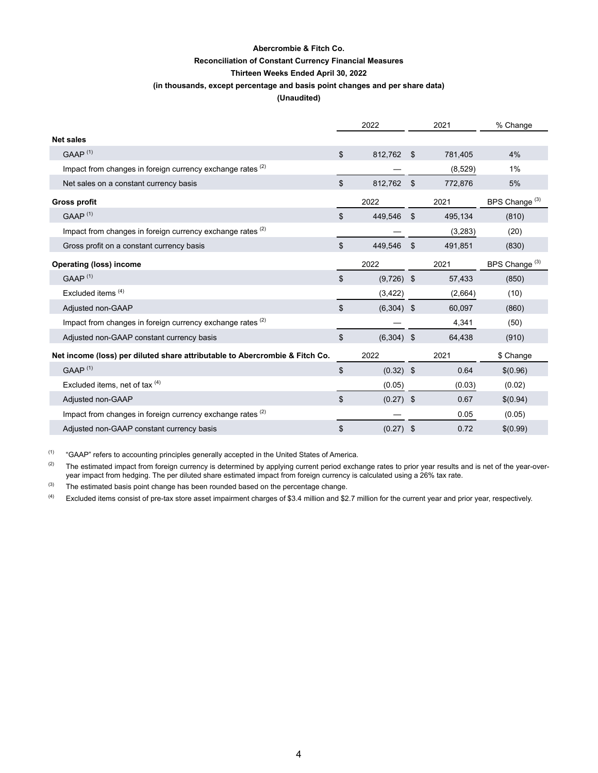#### **Abercrombie & Fitch Co.**

#### **Reconciliation of Constant Currency Financial Measures**

### **Thirteen Weeks Ended April 30, 2022**

### **(in thousands, except percentage and basis point changes and per share data)**

#### **(Unaudited)**

|                                                                             | 2022           |              | 2021           |         | % Change                  |  |
|-----------------------------------------------------------------------------|----------------|--------------|----------------|---------|---------------------------|--|
| <b>Net sales</b>                                                            |                |              |                |         |                           |  |
| GAAP <sup>(1)</sup>                                                         | \$             | 812,762      | \$.            | 781,405 | 4%                        |  |
| Impact from changes in foreign currency exchange rates (2)                  |                |              |                | (8,529) | 1%                        |  |
| Net sales on a constant currency basis                                      | \$             | 812,762      | \$             | 772,876 | 5%                        |  |
| <b>Gross profit</b>                                                         |                | 2022         |                | 2021    | BPS Change <sup>(3)</sup> |  |
| GAAP <sup>(1)</sup>                                                         | $\mathfrak{L}$ | 449,546      | $\mathfrak{L}$ | 495,134 | (810)                     |  |
| Impact from changes in foreign currency exchange rates (2)                  |                |              |                | (3,283) | (20)                      |  |
| Gross profit on a constant currency basis                                   | \$             | 449,546      | \$             | 491,851 | (830)                     |  |
| <b>Operating (loss) income</b>                                              |                | 2022         |                | 2021    | BPS Change <sup>(3)</sup> |  |
| GAAP <sup>(1)</sup>                                                         | \$             | $(9,726)$ \$ |                | 57,433  | (850)                     |  |
| Excluded items $(4)$                                                        |                | (3, 422)     |                | (2,664) | (10)                      |  |
| Adjusted non-GAAP                                                           | \$             | $(6,304)$ \$ |                | 60,097  | (860)                     |  |
| Impact from changes in foreign currency exchange rates <sup>(2)</sup>       |                |              |                | 4,341   | (50)                      |  |
| Adjusted non-GAAP constant currency basis                                   | \$             | $(6,304)$ \$ |                | 64,438  | (910)                     |  |
| Net income (loss) per diluted share attributable to Abercrombie & Fitch Co. |                | 2022         |                | 2021    | \$ Change                 |  |
| GAAP $(1)$                                                                  | \$             | $(0.32)$ \$  |                | 0.64    | \$(0.96)                  |  |
| Excluded items, net of tax $(4)$                                            |                | (0.05)       |                | (0.03)  | (0.02)                    |  |
| Adjusted non-GAAP                                                           | $\mathfrak{L}$ | $(0.27)$ \$  |                | 0.67    | \$(0.94)                  |  |
| Impact from changes in foreign currency exchange rates <sup>(2)</sup>       |                |              |                | 0.05    | (0.05)                    |  |
| Adjusted non-GAAP constant currency basis                                   | \$             | $(0.27)$ \$  |                | 0.72    | \$(0.99)                  |  |

 $(1)$  "GAAP" refers to accounting principles generally accepted in the United States of America.

<sup>(2)</sup> The estimated impact from foreign currency is determined by applying current period exchange rates to prior year results and is net of the year-overyear impact from hedging. The per diluted share estimated impact from foreign currency is calculated using a 26% tax rate.

 $(3)$  The estimated basis point change has been rounded based on the percentage change.

<sup>(4)</sup> Excluded items consist of pre-tax store asset impairment charges of \$3.4 million and \$2.7 million for the current year and prior year, respectively.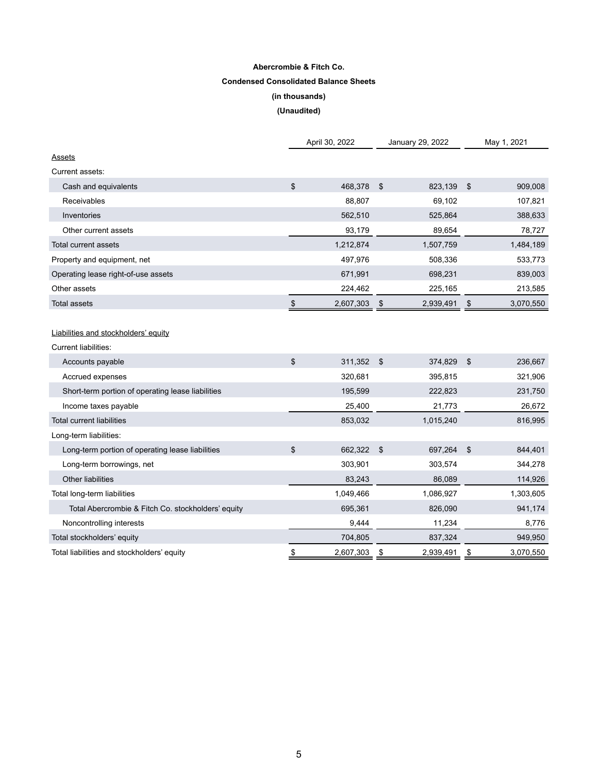# **Abercrombie & Fitch Co. Condensed Consolidated Balance Sheets (in thousands) (Unaudited)**

|                                                    | April 30, 2022  | January 29, 2022 |           |                           | May 1, 2021 |  |
|----------------------------------------------------|-----------------|------------------|-----------|---------------------------|-------------|--|
| <b>Assets</b>                                      |                 |                  |           |                           |             |  |
| Current assets:                                    |                 |                  |           |                           |             |  |
| Cash and equivalents                               | \$<br>468,378   | $\mathfrak{S}$   | 823,139   | $\mathfrak{S}$            | 909,008     |  |
| Receivables                                        | 88,807          |                  | 69,102    |                           | 107,821     |  |
| Inventories                                        | 562,510         |                  | 525,864   |                           | 388,633     |  |
| Other current assets                               | 93,179          |                  | 89,654    |                           | 78,727      |  |
| Total current assets                               | 1,212,874       |                  | 1,507,759 |                           | 1,484,189   |  |
| Property and equipment, net                        | 497,976         |                  | 508,336   |                           | 533,773     |  |
| Operating lease right-of-use assets                | 671,991         |                  | 698,231   |                           | 839,003     |  |
| Other assets                                       | 224,462         |                  | 225,165   |                           | 213,585     |  |
| <b>Total assets</b>                                | \$<br>2,607,303 | \$               | 2,939,491 | \$                        | 3,070,550   |  |
|                                                    |                 |                  |           |                           |             |  |
| Liabilities and stockholders' equity               |                 |                  |           |                           |             |  |
| Current liabilities:                               |                 |                  |           |                           |             |  |
| Accounts payable                                   | \$<br>311,352   | $\mathfrak{S}$   | 374,829   | $\boldsymbol{\mathsf{S}}$ | 236,667     |  |
| Accrued expenses                                   | 320,681         |                  | 395,815   |                           | 321,906     |  |
| Short-term portion of operating lease liabilities  | 195,599         |                  | 222,823   |                           | 231,750     |  |
| Income taxes payable                               | 25,400          |                  | 21,773    |                           | 26,672      |  |
| <b>Total current liabilities</b>                   | 853,032         |                  | 1,015,240 |                           | 816,995     |  |
| Long-term liabilities:                             |                 |                  |           |                           |             |  |
| Long-term portion of operating lease liabilities   | \$<br>662,322   | -\$              | 697,264   | \$                        | 844,401     |  |
| Long-term borrowings, net                          | 303,901         |                  | 303,574   |                           | 344,278     |  |
| Other liabilities                                  | 83,243          |                  | 86,089    |                           | 114,926     |  |
| Total long-term liabilities                        | 1,049,466       |                  | 1,086,927 |                           | 1,303,605   |  |
| Total Abercrombie & Fitch Co. stockholders' equity | 695,361         |                  | 826,090   |                           | 941,174     |  |
| Noncontrolling interests                           | 9,444           |                  | 11,234    |                           | 8,776       |  |
| Total stockholders' equity                         | 704,805         |                  | 837,324   |                           | 949,950     |  |
| Total liabilities and stockholders' equity         | \$<br>2,607,303 | \$               | 2,939,491 | \$                        | 3,070,550   |  |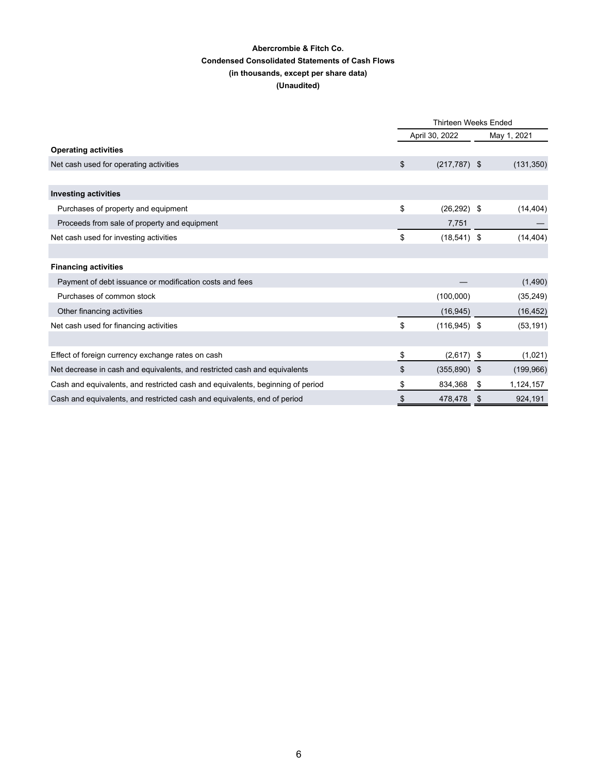# **Abercrombie & Fitch Co. Condensed Consolidated Statements of Cash Flows (in thousands, except per share data) (Unaudited)**

|                                                                                | <b>Thirteen Weeks Ended</b> |     |             |  |  |
|--------------------------------------------------------------------------------|-----------------------------|-----|-------------|--|--|
|                                                                                | April 30, 2022              |     | May 1, 2021 |  |  |
| <b>Operating activities</b>                                                    |                             |     |             |  |  |
| Net cash used for operating activities                                         | \$<br>$(217, 787)$ \$       |     | (131, 350)  |  |  |
|                                                                                |                             |     |             |  |  |
| <b>Investing activities</b>                                                    |                             |     |             |  |  |
| Purchases of property and equipment                                            | \$<br>$(26, 292)$ \$        |     | (14, 404)   |  |  |
| Proceeds from sale of property and equipment                                   | 7,751                       |     |             |  |  |
| Net cash used for investing activities                                         | \$<br>$(18,541)$ \$         |     | (14, 404)   |  |  |
|                                                                                |                             |     |             |  |  |
| <b>Financing activities</b>                                                    |                             |     |             |  |  |
| Payment of debt issuance or modification costs and fees                        |                             |     | (1,490)     |  |  |
| Purchases of common stock                                                      | (100,000)                   |     | (35, 249)   |  |  |
| Other financing activities                                                     | (16, 945)                   |     | (16, 452)   |  |  |
| Net cash used for financing activities                                         | \$<br>$(116, 945)$ \$       |     | (53, 191)   |  |  |
|                                                                                |                             |     |             |  |  |
| Effect of foreign currency exchange rates on cash                              | \$<br>$(2,617)$ \$          |     | (1,021)     |  |  |
| Net decrease in cash and equivalents, and restricted cash and equivalents      | \$<br>$(355, 890)$ \$       |     | (199, 966)  |  |  |
| Cash and equivalents, and restricted cash and equivalents, beginning of period | \$<br>834,368               | -\$ | 1,124,157   |  |  |
| Cash and equivalents, and restricted cash and equivalents, end of period       | \$<br>478,478               | \$  | 924,191     |  |  |